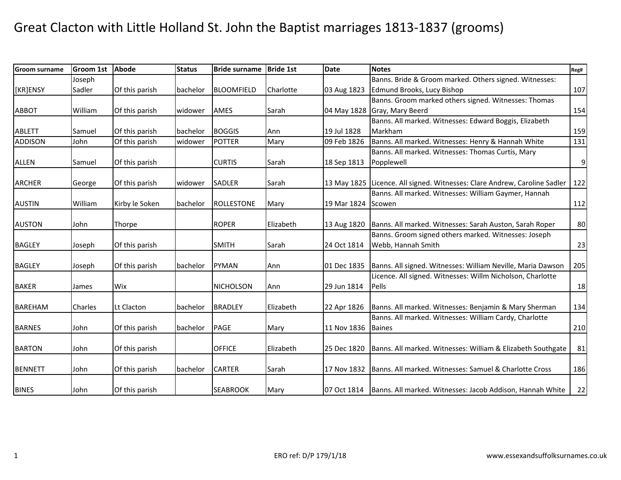| <b>Groom surname</b> | <b>Groom 1st</b> | <b>Abode</b>   | <b>Status</b> | <b>Bride surname</b> | <b>Bride 1st</b> | <b>Date</b>        | <b>Notes</b>                                                              | Reg# |
|----------------------|------------------|----------------|---------------|----------------------|------------------|--------------------|---------------------------------------------------------------------------|------|
|                      | Joseph           |                |               |                      |                  |                    | Banns. Bride & Groom marked. Others signed. Witnesses:                    |      |
| [KR]ENSY             | Sadler           | Of this parish | bachelor      | <b>BLOOMFIELD</b>    | Charlotte        | 03 Aug 1823        | Edmund Brooks, Lucy Bishop                                                | 107  |
|                      |                  |                |               |                      |                  |                    | Banns. Groom marked others signed. Witnesses: Thomas                      |      |
| <b>ABBOT</b>         | William          | Of this parish | widower       | AMES                 | Sarah            | 04 May 1828        | Gray, Mary Beerd                                                          | 154  |
|                      |                  |                |               |                      |                  |                    | Banns. All marked. Witnesses: Edward Boggis, Elizabeth                    |      |
| <b>ABLETT</b>        | Samuel           | Of this parish | bachelor      | <b>BOGGIS</b>        | Ann              | 19 Jul 1828        | Markham                                                                   | 159  |
| <b>ADDISON</b>       | John             | Of this parish | widower       | <b>POTTER</b>        | Mary             | 09 Feb 1826        | Banns. All marked. Witnesses: Henry & Hannah White                        | 131  |
|                      |                  |                |               |                      |                  |                    | Banns. All marked. Witnesses: Thomas Curtis, Mary                         |      |
| <b>ALLEN</b>         | Samuel           | Of this parish |               | <b>CURTIS</b>        | Sarah            | 18 Sep 1813        | Popplewell                                                                | 9    |
|                      |                  |                |               |                      |                  |                    |                                                                           |      |
| <b>ARCHER</b>        | George           | Of this parish | widower       | <b>SADLER</b>        | Sarah            |                    | 13 May 1825 Licence. All signed. Witnesses: Clare Andrew, Caroline Sadler | 122  |
|                      |                  |                |               |                      |                  |                    | Banns. All marked. Witnesses: William Gaymer, Hannah                      |      |
| <b>AUSTIN</b>        | William          | Kirby le Soken | bachelor      | <b>ROLLESTONE</b>    | Mary             | 19 Mar 1824 Scowen |                                                                           | 112  |
|                      |                  |                |               |                      |                  |                    |                                                                           |      |
| <b>AUSTON</b>        | John             | Thorpe         |               | <b>ROPER</b>         | Elizabeth        | 13 Aug 1820        | Banns. All marked. Witnesses: Sarah Auston, Sarah Roper                   | 80   |
|                      |                  |                |               |                      |                  |                    | Banns. Groom signed others marked. Witnesses: Joseph                      |      |
| <b>BAGLEY</b>        | Joseph           | Of this parish |               | <b>SMITH</b>         | Sarah            | 24 Oct 1814        | Webb, Hannah Smith                                                        | 23   |
| <b>BAGLEY</b>        | Joseph           | Of this parish | bachelor      | <b>PYMAN</b>         | Ann              | 01 Dec 1835        | Banns. All signed. Witnesses: William Neville, Maria Dawson               | 205  |
|                      |                  |                |               |                      |                  |                    | Licence. All signed. Witnesses: Willm Nicholson, Charlotte                |      |
| <b>BAKER</b>         | James            | Wix            |               | <b>NICHOLSON</b>     | Ann              | 29 Jun 1814        | Pells                                                                     | 18   |
|                      |                  |                |               |                      |                  |                    |                                                                           |      |
| <b>BAREHAM</b>       | Charles          | Lt Clacton     | bachelor      | <b>BRADLEY</b>       | Elizabeth        | 22 Apr 1826        | Banns. All marked. Witnesses: Benjamin & Mary Sherman                     | 134  |
|                      |                  |                |               |                      |                  |                    | Banns. All marked. Witnesses: William Cardy, Charlotte                    |      |
| <b>BARNES</b>        | John             | Of this parish | bachelor      | <b>PAGE</b>          | Mary             | 11 Nov 1836        | <b>Baines</b>                                                             | 210  |
|                      |                  |                |               |                      |                  |                    |                                                                           |      |
| <b>BARTON</b>        | John             | Of this parish |               | <b>OFFICE</b>        | Elizabeth        | 25 Dec 1820        | Banns. All marked. Witnesses: William & Elizabeth Southgate               | 81   |
| <b>BENNETT</b>       | John             | Of this parish | bachelor      | <b>CARTER</b>        | Sarah            | 17 Nov 1832        | Banns. All marked. Witnesses: Samuel & Charlotte Cross                    | 186  |
|                      |                  |                |               |                      |                  |                    |                                                                           |      |
| <b>BINES</b>         | John             | Of this parish |               | <b>SEABROOK</b>      | Mary             | 07 Oct 1814        | Banns. All marked. Witnesses: Jacob Addison, Hannah White                 | 22   |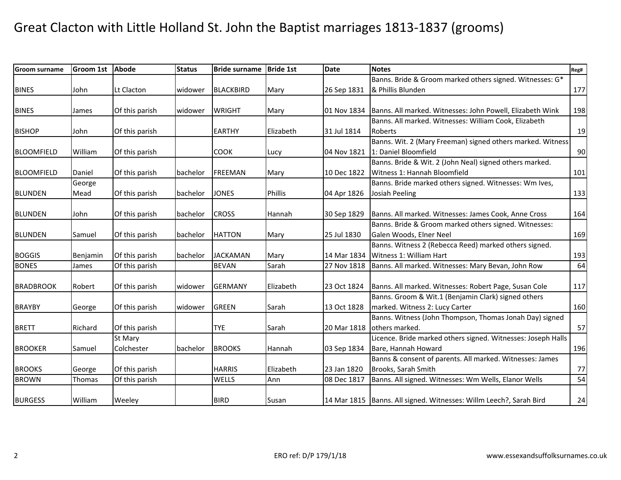| Groom surname     | <b>Groom 1st</b> | Abode          | <b>Status</b> | <b>Bride surname</b> | <b>Bride 1st</b> | Date        | <b>Notes</b>                                                         | Reg# |
|-------------------|------------------|----------------|---------------|----------------------|------------------|-------------|----------------------------------------------------------------------|------|
|                   |                  |                |               |                      |                  |             | Banns. Bride & Groom marked others signed. Witnesses: G*             |      |
| <b>BINES</b>      | John             | Lt Clacton     | widower       | <b>BLACKBIRD</b>     | Mary             | 26 Sep 1831 | & Phillis Blunden                                                    | 177  |
|                   |                  |                |               |                      |                  |             |                                                                      |      |
| <b>BINES</b>      | James            | Of this parish | widower       | <b>WRIGHT</b>        | Mary             | 01 Nov 1834 | Banns. All marked. Witnesses: John Powell, Elizabeth Wink            | 198  |
|                   |                  |                |               |                      |                  |             | Banns. All marked. Witnesses: William Cook, Elizabeth                |      |
| <b>BISHOP</b>     | John             | Of this parish |               | <b>EARTHY</b>        | Elizabeth        | 31 Jul 1814 | Roberts                                                              | 19   |
|                   |                  |                |               |                      |                  |             | Banns. Wit. 2 (Mary Freeman) signed others marked. Witness           |      |
| <b>BLOOMFIELD</b> | William          | Of this parish |               | <b>COOK</b>          | Lucy             | 04 Nov 1821 | 1: Daniel Bloomfield                                                 | 90   |
|                   |                  |                |               |                      |                  |             | Banns. Bride & Wit. 2 (John Neal) signed others marked.              |      |
| <b>BLOOMFIELD</b> | Daniel           | Of this parish | bachelor      | FREEMAN              | Mary             | 10 Dec 1822 | Witness 1: Hannah Bloomfield                                         | 101  |
|                   | George           |                |               |                      |                  |             | Banns. Bride marked others signed. Witnesses: Wm Ives,               |      |
| <b>BLUNDEN</b>    | Mead             | Of this parish | bachelor      | <b>JONES</b>         | Phillis          | 04 Apr 1826 | Josiah Peeling                                                       | 133  |
|                   |                  |                |               |                      |                  |             |                                                                      |      |
| <b>BLUNDEN</b>    | John             | Of this parish | bachelor      | <b>CROSS</b>         | Hannah           | 30 Sep 1829 | Banns. All marked. Witnesses: James Cook, Anne Cross                 | 164  |
|                   |                  |                |               |                      |                  |             | Banns. Bride & Groom marked others signed. Witnesses:                |      |
| <b>BLUNDEN</b>    | Samuel           | Of this parish | bachelor      | <b>HATTON</b>        | Mary             | 25 Jul 1830 | Galen Woods, Elner Neel                                              | 169  |
|                   |                  |                |               |                      |                  |             | Banns. Witness 2 (Rebecca Reed) marked others signed.                |      |
| <b>BOGGIS</b>     | Benjamin         | Of this parish | bachelor      | <b>JACKAMAN</b>      | Mary             | 14 Mar 1834 | Witness 1: William Hart                                              | 193  |
| <b>BONES</b>      | James            | Of this parish |               | <b>BEVAN</b>         | Sarah            | 27 Nov 1818 | Banns. All marked. Witnesses: Mary Bevan, John Row                   | 64   |
|                   |                  |                |               |                      |                  |             |                                                                      |      |
| <b>BRADBROOK</b>  | Robert           | Of this parish | widower       | <b>GERMANY</b>       | Elizabeth        | 23 Oct 1824 | Banns. All marked. Witnesses: Robert Page, Susan Cole                | 117  |
|                   |                  |                |               |                      |                  |             | Banns. Groom & Wit.1 (Benjamin Clark) signed others                  |      |
| <b>BRAYBY</b>     | George           | Of this parish | widower       | <b>GREEN</b>         | Sarah            | 13 Oct 1828 | marked. Witness 2: Lucy Carter                                       | 160  |
|                   |                  |                |               |                      |                  |             | Banns. Witness (John Thompson, Thomas Jonah Day) signed              |      |
| <b>BRETT</b>      | Richard          | Of this parish |               | <b>TYE</b>           | Sarah            | 20 Mar 1818 | others marked.                                                       | 57   |
|                   |                  | St Mary        |               |                      |                  |             | Licence. Bride marked others signed. Witnesses: Joseph Halls         |      |
| <b>BROOKER</b>    | Samuel           | Colchester     | bachelor      | <b>BROOKS</b>        | Hannah           | 03 Sep 1834 | Bare, Hannah Howard                                                  | 196  |
|                   |                  |                |               |                      |                  |             | Banns & consent of parents. All marked. Witnesses: James             |      |
| <b>BROOKS</b>     | George           | Of this parish |               | <b>HARRIS</b>        | Elizabeth        | 23 Jan 1820 | Brooks, Sarah Smith                                                  | 77   |
| <b>BROWN</b>      | Thomas           | Of this parish |               | WELLS                | Ann              | 08 Dec 1817 | Banns. All signed. Witnesses: Wm Wells, Elanor Wells                 | 54   |
|                   |                  |                |               |                      |                  |             |                                                                      |      |
| <b>BURGESS</b>    | William          | Weeley         |               | <b>BIRD</b>          | Susan            |             | 14 Mar 1815   Banns. All signed. Witnesses: Willm Leech?, Sarah Bird | 24   |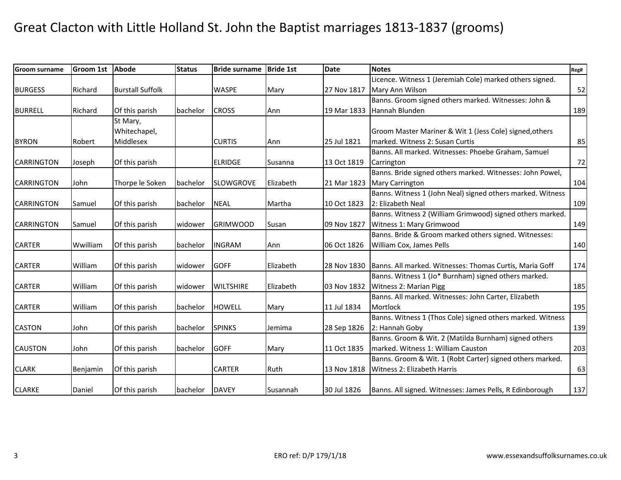| <b>Groom surname</b> | <b>Groom 1st</b> | <b>Abode</b>            | <b>Status</b> | <b>Bride surname</b> | <b>Bride 1st</b> | <b>Date</b> | <b>Notes</b>                                               | Reg# |
|----------------------|------------------|-------------------------|---------------|----------------------|------------------|-------------|------------------------------------------------------------|------|
|                      |                  |                         |               |                      |                  |             | Licence. Witness 1 (Jeremiah Cole) marked others signed.   |      |
| <b>BURGESS</b>       | Richard          | <b>Burstall Suffolk</b> |               | <b>WASPE</b>         | Mary             | 27 Nov 1817 | Mary Ann Wilson                                            | 52   |
|                      |                  |                         |               |                      |                  |             | Banns. Groom signed others marked. Witnesses: John &       |      |
| <b>BURRELL</b>       | Richard          | Of this parish          | bachelor      | <b>CROSS</b>         | Ann              | 19 Mar 1833 | Hannah Blunden                                             | 189  |
|                      |                  | St Mary,                |               |                      |                  |             |                                                            |      |
|                      |                  | Whitechapel,            |               |                      |                  |             | Groom Master Mariner & Wit 1 (Jess Cole) signed, others    |      |
| <b>BYRON</b>         | Robert           | Middlesex               |               | <b>CURTIS</b>        | Ann              | 25 Jul 1821 | marked. Witness 2: Susan Curtis                            | 85   |
|                      |                  |                         |               |                      |                  |             | Banns. All marked. Witnesses: Phoebe Graham, Samuel        |      |
| <b>CARRINGTON</b>    | Joseph           | Of this parish          |               | <b>ELRIDGE</b>       | Susanna          | 13 Oct 1819 | Carrington                                                 | 72   |
|                      |                  |                         |               |                      |                  |             | Banns. Bride signed others marked. Witnesses: John Powel,  |      |
| <b>CARRINGTON</b>    | John             | Thorpe le Soken         | bachelor      | <b>SLOWGROVE</b>     | Elizabeth        | 21 Mar 1823 | <b>Mary Carrington</b>                                     | 104  |
|                      |                  |                         |               |                      |                  |             | Banns. Witness 1 (John Neal) signed others marked. Witness |      |
| <b>CARRINGTON</b>    | Samuel           | Of this parish          | bachelor      | <b>NEAL</b>          | Martha           | 10 Oct 1823 | 2: Elizabeth Neal                                          | 109  |
|                      |                  |                         |               |                      |                  |             | Banns. Witness 2 (William Grimwood) signed others marked.  |      |
| <b>CARRINGTON</b>    | Samuel           | Of this parish          | widower       | <b>GRIMWOOD</b>      | Susan            | 09 Nov 1827 | Witness 1: Mary Grimwood                                   | 149  |
|                      |                  |                         |               |                      |                  |             | Banns. Bride & Groom marked others signed. Witnesses:      |      |
| <b>CARTER</b>        | Wwilliam         | Of this parish          | bachelor      | <b>INGRAM</b>        | Ann              | 06 Oct 1826 | William Cox, James Pells                                   | 140  |
|                      |                  |                         |               |                      |                  |             |                                                            |      |
| <b>CARTER</b>        | William          | Of this parish          | widower       | <b>GOFF</b>          | Elizabeth        | 28 Nov 1830 | Banns. All marked. Witnesses: Thomas Curtis, Maria Goff    | 174  |
|                      |                  |                         |               |                      |                  |             | Banns. Witness 1 (Jo* Burnham) signed others marked.       |      |
| <b>CARTER</b>        | William          | Of this parish          | widower       | <b>WILTSHIRE</b>     | Elizabeth        | 03 Nov 1832 | Witness 2: Marian Pigg                                     | 185  |
|                      |                  |                         |               |                      |                  |             | Banns. All marked. Witnesses: John Carter, Elizabeth       |      |
| <b>CARTER</b>        | William          | Of this parish          | bachelor      | <b>HOWELL</b>        | Mary             | 11 Jul 1834 | Mortlock                                                   | 195  |
|                      |                  |                         |               |                      |                  |             | Banns. Witness 1 (Thos Cole) signed others marked. Witness |      |
| <b>CASTON</b>        | John             | Of this parish          | bachelor      | <b>SPINKS</b>        | Jemima           | 28 Sep 1826 | 2: Hannah Goby                                             | 139  |
|                      |                  |                         |               |                      |                  |             | Banns. Groom & Wit. 2 (Matilda Burnham) signed others      |      |
| <b>CAUSTON</b>       | John             | Of this parish          | bachelor      | <b>GOFF</b>          | Mary             | 11 Oct 1835 | marked. Witness 1: William Causton                         | 203  |
|                      |                  |                         |               |                      |                  |             | Banns. Groom & Wit. 1 (Robt Carter) signed others marked.  |      |
| <b>CLARK</b>         | Benjamin         | Of this parish          |               | <b>CARTER</b>        | Ruth             | 13 Nov 1818 | Witness 2: Elizabeth Harris                                | 63   |
|                      |                  |                         |               |                      |                  |             |                                                            |      |
| <b>CLARKE</b>        | Daniel           | Of this parish          | bachelor      | <b>DAVEY</b>         | Susannah         | 30 Jul 1826 | Banns. All signed. Witnesses: James Pells, R Edinborough   | 137  |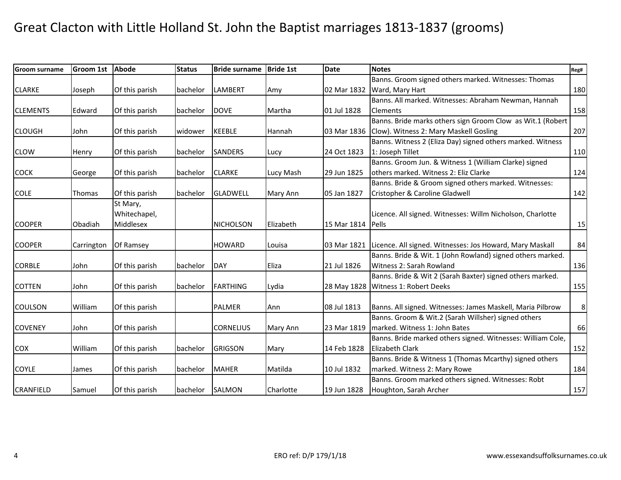| Groom surname    | <b>Groom 1st</b> | <b>Abode</b>   | <b>Status</b>   | <b>Bride surname</b> | <b>Bride 1st</b> | <b>Date</b> | <b>Notes</b>                                                | Reg# |
|------------------|------------------|----------------|-----------------|----------------------|------------------|-------------|-------------------------------------------------------------|------|
|                  |                  |                |                 |                      |                  |             | Banns. Groom signed others marked. Witnesses: Thomas        |      |
| <b>CLARKE</b>    | Joseph           | Of this parish | bachelor        | <b>LAMBERT</b>       | Amy              | 02 Mar 1832 | Ward, Mary Hart                                             | 180  |
|                  |                  |                |                 |                      |                  |             | Banns. All marked. Witnesses: Abraham Newman, Hannah        |      |
| <b>CLEMENTS</b>  | Edward           | Of this parish | bachelor        | <b>DOVE</b>          | Martha           | 01 Jul 1828 | <b>Clements</b>                                             | 158  |
|                  |                  |                |                 |                      |                  |             | Banns. Bride marks others sign Groom Clow as Wit.1 (Robert  |      |
| <b>CLOUGH</b>    | John             | Of this parish | widower         | <b>KEEBLE</b>        | Hannah           | 03 Mar 1836 | Clow). Witness 2: Mary Maskell Gosling                      | 207  |
|                  |                  |                |                 |                      |                  |             | Banns. Witness 2 (Eliza Day) signed others marked. Witness  |      |
| <b>CLOW</b>      | Henry            | Of this parish | bachelor        | <b>SANDERS</b>       | Lucy             | 24 Oct 1823 | 1: Joseph Tillet                                            | 110  |
|                  |                  |                |                 |                      |                  |             | Banns. Groom Jun. & Witness 1 (William Clarke) signed       |      |
| <b>COCK</b>      | George           | Of this parish | bachelor        | <b>CLARKE</b>        | Lucy Mash        | 29 Jun 1825 | others marked. Witness 2: Eliz Clarke                       | 124  |
|                  |                  |                |                 |                      |                  |             | Banns. Bride & Groom signed others marked. Witnesses:       |      |
| <b>COLE</b>      | <b>Thomas</b>    | Of this parish | bachelor        | <b>GLADWELL</b>      | Mary Ann         | 05 Jan 1827 | Cristopher & Caroline Gladwell                              | 142  |
|                  |                  | St Mary,       |                 |                      |                  |             |                                                             |      |
|                  |                  | Whitechapel,   |                 |                      |                  |             | Licence. All signed. Witnesses: Willm Nicholson, Charlotte  |      |
| <b>COOPER</b>    | Obadiah          | Middlesex      |                 | <b>NICHOLSON</b>     | Elizabeth        | 15 Mar 1814 | Pells                                                       | 15   |
|                  |                  |                |                 |                      |                  |             |                                                             |      |
| <b>COOPER</b>    | Carrington       | Of Ramsey      |                 | <b>HOWARD</b>        | Louisa           | 03 Mar 1821 | Licence. All signed. Witnesses: Jos Howard, Mary Maskall    | 84   |
|                  |                  |                |                 |                      |                  |             | Banns. Bride & Wit. 1 (John Rowland) signed others marked.  |      |
| <b>CORBLE</b>    | John             | Of this parish | bachelor        | DAY                  | Eliza            | 21 Jul 1826 | Witness 2: Sarah Rowland                                    | 136  |
|                  |                  |                |                 |                      |                  |             | Banns. Bride & Wit 2 (Sarah Baxter) signed others marked.   |      |
| <b>COTTEN</b>    | John             | Of this parish | bachelor        | FARTHING             | Lydia            | 28 May 1828 | Witness 1: Robert Deeks                                     | 155  |
|                  |                  |                |                 |                      |                  |             |                                                             |      |
| <b>COULSON</b>   | William          | Of this parish |                 | <b>PALMER</b>        | Ann              | 08 Jul 1813 | Banns. All signed. Witnesses: James Maskell, Maria Pilbrow  | 8    |
|                  |                  |                |                 |                      |                  |             | Banns. Groom & Wit.2 (Sarah Willsher) signed others         |      |
| <b>COVENEY</b>   | John             | Of this parish |                 | <b>CORNELIUS</b>     | Mary Ann         | 23 Mar 1819 | marked. Witness 1: John Bates                               | 66   |
|                  |                  |                |                 |                      |                  |             | Banns. Bride marked others signed. Witnesses: William Cole, |      |
| COX              | William          | Of this parish | bachelor        | <b>GRIGSON</b>       | Mary             | 14 Feb 1828 | <b>Elizabeth Clark</b>                                      | 152  |
|                  |                  |                |                 |                      |                  |             | Banns. Bride & Witness 1 (Thomas Mcarthy) signed others     |      |
| <b>COYLE</b>     | James            | Of this parish | bachelor        | <b>MAHER</b>         | Matilda          | 10 Jul 1832 | marked. Witness 2: Mary Rowe                                | 184  |
|                  |                  |                |                 |                      |                  |             | Banns. Groom marked others signed. Witnesses: Robt          |      |
| <b>CRANFIELD</b> | Samuel           | Of this parish | bachelor SALMON |                      | Charlotte        | 19 Jun 1828 | Houghton, Sarah Archer                                      | 157  |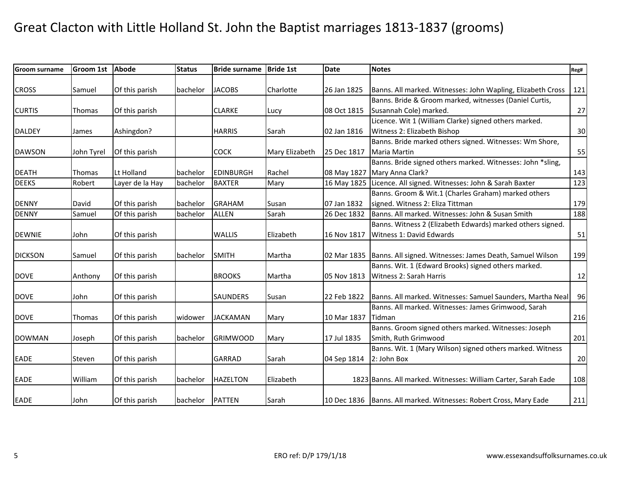| Groom surname  | <b>Groom 1st</b> | Abode           | <b>Status</b> | <b>Bride surname</b> | <b>Bride 1st</b> | <b>Date</b> | <b>Notes</b>                                                        | Reg# |
|----------------|------------------|-----------------|---------------|----------------------|------------------|-------------|---------------------------------------------------------------------|------|
|                |                  |                 |               |                      |                  |             |                                                                     |      |
| <b>CROSS</b>   | Samuel           | Of this parish  | bachelor      | <b>JACOBS</b>        | Charlotte        | 26 Jan 1825 | Banns. All marked. Witnesses: John Wapling, Elizabeth Cross         | 121  |
|                |                  |                 |               |                      |                  |             | Banns. Bride & Groom marked, witnesses (Daniel Curtis,              |      |
| <b>CURTIS</b>  | <b>Thomas</b>    | Of this parish  |               | <b>CLARKE</b>        | Lucy             | 08 Oct 1815 | Susannah Cole) marked.                                              | 27   |
|                |                  |                 |               |                      |                  |             | Licence. Wit 1 (William Clarke) signed others marked.               |      |
| <b>DALDEY</b>  | James            | Ashingdon?      |               | <b>HARRIS</b>        | Sarah            | 02 Jan 1816 | Witness 2: Elizabeth Bishop                                         | 30   |
|                |                  |                 |               |                      |                  |             | Banns. Bride marked others signed. Witnesses: Wm Shore,             |      |
| <b>DAWSON</b>  | John Tyrel       | Of this parish  |               | <b>COCK</b>          | Mary Elizabeth   | 25 Dec 1817 | Maria Martin                                                        | 55   |
|                |                  |                 |               |                      |                  |             | Banns. Bride signed others marked. Witnesses: John *sling,          |      |
| <b>DEATH</b>   | Thomas           | Lt Holland      | bachelor      | <b>EDINBURGH</b>     | Rachel           | 08 May 1827 | Mary Anna Clark?                                                    | 143  |
| <b>DEEKS</b>   | Robert           | Layer de la Hay | bachelor      | <b>BAXTER</b>        | Mary             | 16 May 1825 | Licence. All signed. Witnesses: John & Sarah Baxter                 | 123  |
|                |                  |                 |               |                      |                  |             | Banns. Groom & Wit.1 (Charles Graham) marked others                 |      |
| <b>DENNY</b>   | David            | Of this parish  | bachelor      | <b>GRAHAM</b>        | Susan            | 07 Jan 1832 | signed. Witness 2: Eliza Tittman                                    | 179  |
| <b>DENNY</b>   | Samuel           | Of this parish  | bachelor      | <b>ALLEN</b>         | Sarah            | 26 Dec 1832 | Banns. All marked. Witnesses: John & Susan Smith                    | 188  |
|                |                  |                 |               |                      |                  |             | Banns. Witness 2 (Elizabeth Edwards) marked others signed.          |      |
| <b>DEWNIE</b>  | John             | Of this parish  |               | <b>WALLIS</b>        | Elizabeth        | 16 Nov 1817 | Witness 1: David Edwards                                            | 51   |
|                |                  |                 |               |                      |                  |             |                                                                     |      |
| <b>DICKSON</b> | Samuel           | Of this parish  | bachelor      | <b>SMITH</b>         | Martha           | 02 Mar 1835 | Banns. All signed. Witnesses: James Death, Samuel Wilson            | 199  |
|                |                  |                 |               |                      |                  |             | Banns. Wit. 1 (Edward Brooks) signed others marked.                 |      |
| <b>DOVE</b>    | Anthony          | Of this parish  |               | <b>BROOKS</b>        | Martha           | 05 Nov 1813 | Witness 2: Sarah Harris                                             | 12   |
|                |                  |                 |               |                      |                  |             |                                                                     |      |
| <b>DOVE</b>    | John             | Of this parish  |               | <b>SAUNDERS</b>      | Susan            | 22 Feb 1822 | Banns. All marked. Witnesses: Samuel Saunders, Martha Neal          | 96   |
|                |                  |                 |               |                      |                  |             | Banns. All marked. Witnesses: James Grimwood, Sarah                 |      |
| <b>DOVE</b>    | <b>Thomas</b>    | Of this parish  | widower       | <b>JACKAMAN</b>      | Mary             | 10 Mar 1837 | Tidman                                                              | 216  |
|                |                  |                 |               |                      |                  |             | Banns. Groom signed others marked. Witnesses: Joseph                |      |
| <b>DOWMAN</b>  | Joseph           | Of this parish  | bachelor      | <b>GRIMWOOD</b>      | Mary             | 17 Jul 1835 | Smith, Ruth Grimwood                                                | 201  |
|                |                  |                 |               |                      |                  |             | Banns. Wit. 1 (Mary Wilson) signed others marked. Witness           |      |
| EADE           | Steven           | Of this parish  |               | <b>GARRAD</b>        | Sarah            | 04 Sep 1814 | 2: John Box                                                         | 20   |
|                |                  |                 |               |                      |                  |             |                                                                     |      |
| <b>EADE</b>    | William          | Of this parish  | bachelor      | <b>HAZELTON</b>      | Elizabeth        |             | 1823 Banns. All marked. Witnesses: William Carter, Sarah Eade       | 108  |
|                |                  |                 |               |                      |                  |             |                                                                     |      |
| <b>EADE</b>    | John             | Of this parish  | bachelor      | <b>PATTEN</b>        | Sarah            |             | 10 Dec 1836   Banns. All marked. Witnesses: Robert Cross, Mary Eade | 211  |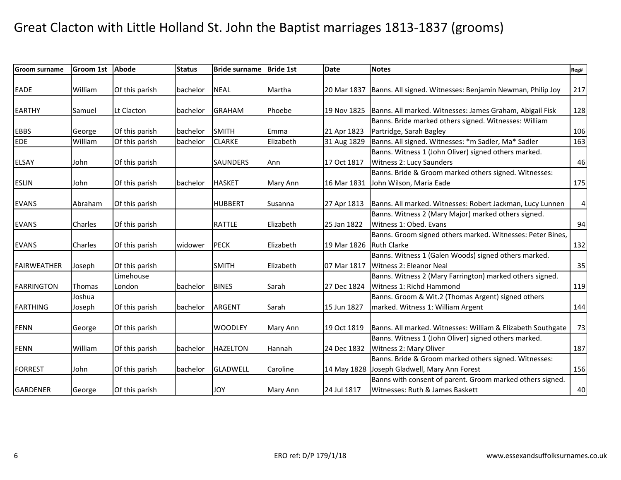| Groom surname      | <b>Groom 1st</b> | Abode          | <b>Status</b> | <b>Bride surname</b> | <b>Bride 1st</b> | <b>Date</b> | <b>Notes</b>                                                | Reg#                    |
|--------------------|------------------|----------------|---------------|----------------------|------------------|-------------|-------------------------------------------------------------|-------------------------|
|                    |                  |                |               |                      |                  |             |                                                             |                         |
| EADE               | William          | Of this parish | bachelor      | <b>NEAL</b>          | Martha           | 20 Mar 1837 | Banns. All signed. Witnesses: Benjamin Newman, Philip Joy   | 217                     |
| <b>EARTHY</b>      | Samuel           | Lt Clacton     | bachelor      | <b>GRAHAM</b>        | Phoebe           | 19 Nov 1825 | Banns. All marked. Witnesses: James Graham, Abigail Fisk    | 128                     |
|                    |                  |                |               |                      |                  |             | Banns. Bride marked others signed. Witnesses: William       |                         |
| <b>EBBS</b>        | George           | Of this parish | bachelor      | <b>SMITH</b>         | Emma             | 21 Apr 1823 | Partridge, Sarah Bagley                                     | 106                     |
| <b>EDE</b>         | William          | Of this parish | bachelor      | <b>CLARKE</b>        | Elizabeth        | 31 Aug 1829 | Banns. All signed. Witnesses: *m Sadler, Ma* Sadler         | 163                     |
|                    |                  |                |               |                      |                  |             | Banns. Witness 1 (John Oliver) signed others marked.        |                         |
| ELSAY              | John             | Of this parish |               | <b>SAUNDERS</b>      | Ann              | 17 Oct 1817 | Witness 2: Lucy Saunders                                    | 46                      |
|                    |                  |                |               |                      |                  |             | Banns. Bride & Groom marked others signed. Witnesses:       |                         |
| <b>ESLIN</b>       | John             | Of this parish | bachelor      | <b>HASKET</b>        | Mary Ann         | 16 Mar 1831 | John Wilson, Maria Eade                                     | 175                     |
|                    |                  |                |               |                      |                  |             |                                                             |                         |
| <b>EVANS</b>       | Abraham          | Of this parish |               | <b>HUBBERT</b>       | Susanna          | 27 Apr 1813 | Banns. All marked. Witnesses: Robert Jackman, Lucy Lunnen   | $\overline{\mathbf{4}}$ |
|                    |                  |                |               |                      |                  |             | Banns. Witness 2 (Mary Major) marked others signed.         |                         |
| <b>EVANS</b>       | Charles          | Of this parish |               | <b>RATTLE</b>        | Elizabeth        | 25 Jan 1822 | Witness 1: Obed. Evans                                      | 94                      |
|                    |                  |                |               |                      |                  |             | Banns. Groom signed others marked. Witnesses: Peter Bines,  |                         |
| <b>EVANS</b>       | Charles          | Of this parish | widower       | PECK                 | Elizabeth        | 19 Mar 1826 | <b>Ruth Clarke</b>                                          | 132                     |
|                    |                  |                |               |                      |                  |             | Banns. Witness 1 (Galen Woods) signed others marked.        |                         |
| <b>FAIRWEATHER</b> | Joseph           | Of this parish |               | <b>SMITH</b>         | Elizabeth        | 07 Mar 1817 | Witness 2: Eleanor Neal                                     | 35                      |
|                    |                  | Limehouse      |               |                      |                  |             | Banns. Witness 2 (Mary Farrington) marked others signed.    |                         |
| <b>FARRINGTON</b>  | <b>Thomas</b>    | London         | bachelor      | <b>BINES</b>         | Sarah            | 27 Dec 1824 | Witness 1: Richd Hammond                                    | 119                     |
|                    | Joshua           |                |               |                      |                  |             | Banns. Groom & Wit.2 (Thomas Argent) signed others          |                         |
| <b>FARTHING</b>    | Joseph           | Of this parish | bachelor      | <b>ARGENT</b>        | Sarah            | 15 Jun 1827 | marked. Witness 1: William Argent                           | 144                     |
|                    |                  |                |               |                      |                  |             |                                                             |                         |
| <b>FENN</b>        | George           | Of this parish |               | <b>WOODLEY</b>       | Mary Ann         | 19 Oct 1819 | Banns. All marked. Witnesses: William & Elizabeth Southgate | 73                      |
|                    |                  |                |               |                      |                  |             | Banns. Witness 1 (John Oliver) signed others marked.        |                         |
| <b>FENN</b>        | William          | Of this parish | bachelor      | <b>HAZELTON</b>      | Hannah           | 24 Dec 1832 | Witness 2: Mary Oliver                                      | 187                     |
|                    |                  |                |               |                      |                  |             | Banns. Bride & Groom marked others signed. Witnesses:       |                         |
| <b>FORREST</b>     | John             | Of this parish | bachelor      | <b>GLADWELL</b>      | Caroline         | 14 May 1828 | Joseph Gladwell, Mary Ann Forest                            | 156                     |
|                    |                  |                |               |                      |                  |             | Banns with consent of parent. Groom marked others signed.   |                         |
| GARDENER           | George           | Of this parish |               | <b>JOY</b>           | Mary Ann         | 24 Jul 1817 | Witnesses: Ruth & James Baskett                             | 40                      |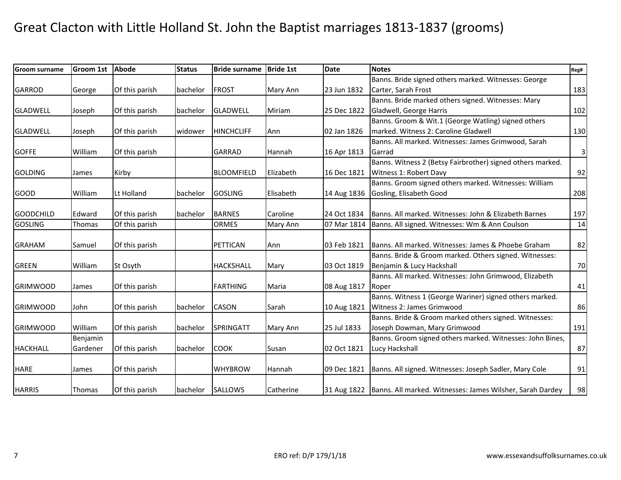| <b>Groom surname</b> | <b>Groom 1st</b> | <b>Abode</b>   | <b>Status</b> | <b>Bride surname</b> | <b>Bride 1st</b> | <b>Date</b> | <b>Notes</b>                                                            | Reg#                      |
|----------------------|------------------|----------------|---------------|----------------------|------------------|-------------|-------------------------------------------------------------------------|---------------------------|
|                      |                  |                |               |                      |                  |             | Banns. Bride signed others marked. Witnesses: George                    |                           |
| <b>GARROD</b>        | George           | Of this parish | bachelor      | <b>FROST</b>         | Mary Ann         | 23 Jun 1832 | Carter, Sarah Frost                                                     | 183                       |
|                      |                  |                |               |                      |                  |             | Banns. Bride marked others signed. Witnesses: Mary                      |                           |
| <b>GLADWELL</b>      | Joseph           | Of this parish | bachelor      | <b>GLADWELL</b>      | Miriam           | 25 Dec 1822 | Gladwell, George Harris                                                 | 102                       |
|                      |                  |                |               |                      |                  |             | Banns. Groom & Wit.1 (George Watling) signed others                     |                           |
| <b>GLADWELL</b>      | Joseph           | Of this parish | widower       | <b>HINCHCLIFF</b>    | Ann              | 02 Jan 1826 | marked. Witness 2: Caroline Gladwell                                    | 130                       |
|                      |                  |                |               |                      |                  |             | Banns. All marked. Witnesses: James Grimwood, Sarah                     |                           |
| <b>GOFFE</b>         | William          | Of this parish |               | <b>GARRAD</b>        | Hannah           | 16 Apr 1813 | Garrad                                                                  | $\ensuremath{\mathsf{3}}$ |
|                      |                  |                |               |                      |                  |             | Banns. Witness 2 (Betsy Fairbrother) signed others marked.              |                           |
| <b>GOLDING</b>       | James            | Kirby          |               | <b>BLOOMFIELD</b>    | Elizabeth        | 16 Dec 1821 | Witness 1: Robert Davy                                                  | 92                        |
|                      |                  |                |               |                      |                  |             | Banns. Groom signed others marked. Witnesses: William                   |                           |
| <b>GOOD</b>          | William          | Lt Holland     | bachelor      | <b>GOSLING</b>       | Elisabeth        | 14 Aug 1836 | Gosling, Elisabeth Good                                                 | 208                       |
|                      |                  |                |               |                      |                  |             |                                                                         |                           |
| <b>GOODCHILD</b>     | Edward           | Of this parish | bachelor      | <b>BARNES</b>        | Caroline         | 24 Oct 1834 | <b>Banns. All marked. Witnesses: John &amp; Elizabeth Barnes</b>        | 197                       |
| <b>GOSLING</b>       | Thomas           | Of this parish |               | <b>ORMES</b>         | Mary Ann         | 07 Mar 1814 | Banns. All signed. Witnesses: Wm & Ann Coulson                          | 14                        |
|                      |                  |                |               |                      |                  |             |                                                                         |                           |
| <b>GRAHAM</b>        | Samuel           | Of this parish |               | PETTICAN             | Ann              | 03 Feb 1821 | Banns. All marked. Witnesses: James & Phoebe Graham                     | 82                        |
|                      |                  |                |               |                      |                  |             | Banns. Bride & Groom marked. Others signed. Witnesses:                  |                           |
| <b>GREEN</b>         | William          | St Osyth       |               | <b>HACKSHALL</b>     | Mary             | 03 Oct 1819 | Benjamin & Lucy Hackshall                                               | 70                        |
|                      |                  |                |               |                      |                  |             | Banns. All marked. Witnesses: John Grimwood, Elizabeth                  |                           |
| <b>GRIMWOOD</b>      | James            | Of this parish |               | <b>FARTHING</b>      | Maria            | 08 Aug 1817 | Roper                                                                   | 41                        |
|                      |                  |                |               |                      |                  |             | Banns. Witness 1 (George Wariner) signed others marked.                 |                           |
| <b>GRIMWOOD</b>      | John             | Of this parish | bachelor      | <b>CASON</b>         | Sarah            | 10 Aug 1821 | Witness 2: James Grimwood                                               | 86                        |
|                      |                  |                |               |                      |                  |             | Banns. Bride & Groom marked others signed. Witnesses:                   |                           |
| <b>GRIMWOOD</b>      | William          | Of this parish | bachelor      | SPRINGATT            | Mary Ann         | 25 Jul 1833 | Joseph Dowman, Mary Grimwood                                            | 191                       |
|                      | Benjamin         |                |               |                      |                  |             | Banns. Groom signed others marked. Witnesses: John Bines,               |                           |
| <b>HACKHALL</b>      | Gardener         | Of this parish | bachelor      | <b>COOK</b>          | Susan            | 02 Oct 1821 | Lucy Hackshall                                                          | 87                        |
|                      |                  |                |               |                      |                  |             |                                                                         |                           |
| <b>HARE</b>          | James            | Of this parish |               | <b>WHYBROW</b>       | Hannah           | 09 Dec 1821 | Banns. All signed. Witnesses: Joseph Sadler, Mary Cole                  | 91                        |
|                      |                  |                |               |                      |                  |             |                                                                         |                           |
| <b>HARRIS</b>        | Thomas           | Of this parish |               | bachelor SALLOWS     | Catherine        |             | 31 Aug 1822   Banns. All marked. Witnesses: James Wilsher, Sarah Dardey | 98                        |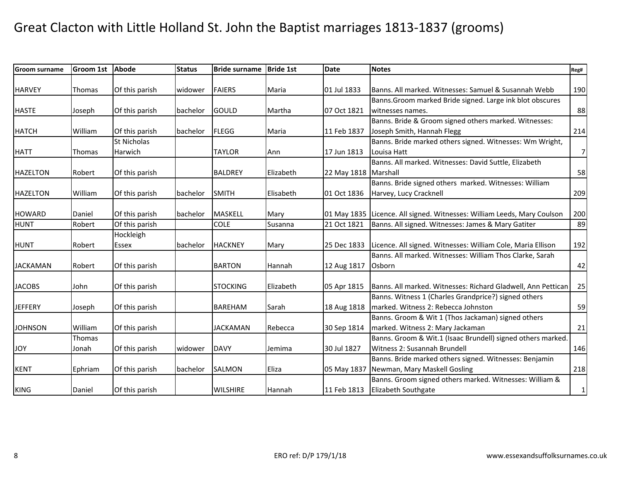| <b>Groom surname</b> | Groom 1st     | Abode              | <b>Status</b> | <b>Bride surname</b> | <b>Bride 1st</b> | <b>Date</b> | <b>Notes</b>                                                            | Reg#             |
|----------------------|---------------|--------------------|---------------|----------------------|------------------|-------------|-------------------------------------------------------------------------|------------------|
|                      |               |                    |               |                      |                  |             |                                                                         |                  |
| <b>HARVEY</b>        | Thomas        | Of this parish     | widower       | <b>FAIERS</b>        | Maria            | 01 Jul 1833 | Banns. All marked. Witnesses: Samuel & Susannah Webb                    | 190              |
|                      |               |                    |               |                      |                  |             | Banns. Groom marked Bride signed. Large ink blot obscures               |                  |
| <b>HASTE</b>         | Joseph        | Of this parish     | bachelor      | GOULD                | Martha           | 07 Oct 1821 | witnesses names.                                                        | 88               |
|                      |               |                    |               |                      |                  |             | Banns. Bride & Groom signed others marked. Witnesses:                   |                  |
| <b>HATCH</b>         | William       | Of this parish     | bachelor      | <b>FLEGG</b>         | Maria            | 11 Feb 1837 | Joseph Smith, Hannah Flegg                                              | 214              |
|                      |               | <b>St Nicholas</b> |               |                      |                  |             | Banns. Bride marked others signed. Witnesses: Wm Wright,                |                  |
| <b>HATT</b>          | <b>Thomas</b> | Harwich            |               | <b>TAYLOR</b>        | Ann              | 17 Jun 1813 | Louisa Hatt                                                             | $\boldsymbol{7}$ |
|                      |               |                    |               |                      |                  |             | Banns. All marked. Witnesses: David Suttle, Elizabeth                   |                  |
| <b>HAZELTON</b>      | Robert        | Of this parish     |               | <b>BALDREY</b>       | Elizabeth        | 22 May 1818 | Marshall                                                                | 58               |
|                      |               |                    |               |                      |                  |             | Banns. Bride signed others marked. Witnesses: William                   |                  |
| <b>HAZELTON</b>      | William       | Of this parish     | bachelor      | <b>SMITH</b>         | Elisabeth        | 01 Oct 1836 | Harvey, Lucy Cracknell                                                  | 209              |
|                      |               |                    |               |                      |                  |             |                                                                         |                  |
| <b>HOWARD</b>        | Daniel        | Of this parish     | bachelor      | <b>MASKELL</b>       | Mary             |             | 01 May 1835 Licence. All signed. Witnesses: William Leeds, Mary Coulson | 200              |
| <b>HUNT</b>          | Robert        | Of this parish     |               | <b>COLE</b>          | Susanna          | 21 Oct 1821 | Banns. All signed. Witnesses: James & Mary Gatiter                      | 89               |
|                      |               | Hockleigh          |               |                      |                  |             |                                                                         |                  |
| <b>HUNT</b>          | Robert        | Essex              | bachelor      | <b>HACKNEY</b>       | Mary             | 25 Dec 1833 | Licence. All signed. Witnesses: William Cole, Maria Ellison             | 192              |
|                      |               |                    |               |                      |                  |             | Banns. All marked. Witnesses: William Thos Clarke, Sarah                |                  |
| <b>JACKAMAN</b>      | Robert        | Of this parish     |               | <b>BARTON</b>        | Hannah           | 12 Aug 1817 | Osborn                                                                  | 42               |
|                      |               |                    |               |                      |                  |             |                                                                         |                  |
| <b>JACOBS</b>        | John          | Of this parish     |               | <b>STOCKING</b>      | Elizabeth        | 05 Apr 1815 | Banns. All marked. Witnesses: Richard Gladwell, Ann Pettican            | 25               |
|                      |               |                    |               |                      |                  |             | Banns. Witness 1 (Charles Grandprice?) signed others                    |                  |
| <b>JEFFERY</b>       | Joseph        | Of this parish     |               | <b>BAREHAM</b>       | Sarah            | 18 Aug 1818 | marked. Witness 2: Rebecca Johnston                                     | 59               |
|                      |               |                    |               |                      |                  |             | Banns. Groom & Wit 1 (Thos Jackaman) signed others                      |                  |
| <b>JOHNSON</b>       | William       | Of this parish     |               | <b>JACKAMAN</b>      | Rebecca          | 30 Sep 1814 | marked. Witness 2: Mary Jackaman                                        | 21               |
|                      | <b>Thomas</b> |                    |               |                      |                  |             | Banns. Groom & Wit.1 (Isaac Brundell) signed others marked.             |                  |
| <b>JOY</b>           | Jonah         | Of this parish     | widower       | <b>DAVY</b>          | Jemima           | 30 Jul 1827 | Witness 2: Susannah Brundell                                            | 146              |
|                      |               |                    |               |                      |                  |             | Banns. Bride marked others signed. Witnesses: Benjamin                  |                  |
| <b>KENT</b>          | Ephriam       | Of this parish     | bachelor      | <b>SALMON</b>        | Eliza            | 05 May 1837 | Newman, Mary Maskell Gosling                                            | 218              |
|                      |               |                    |               |                      |                  |             | Banns. Groom signed others marked. Witnesses: William &                 |                  |
| <b>KING</b>          | Daniel        | Of this parish     |               | <b>WILSHIRE</b>      | Hannah           | 11 Feb 1813 | <b>Elizabeth Southgate</b>                                              | $\mathbf{1}$     |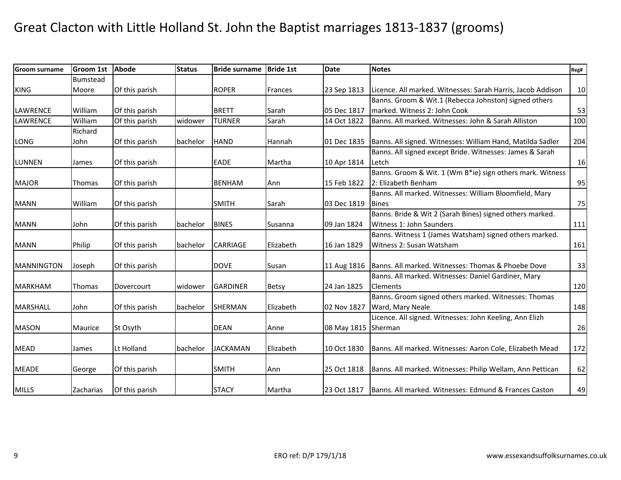| <b>Groom surname</b> | <b>Groom 1st</b> | <b>Abode</b>   | <b>Status</b> | <b>Bride surname</b> | <b>Bride 1st</b> | <b>Date</b>         | <b>Notes</b>                                                | Reg# |
|----------------------|------------------|----------------|---------------|----------------------|------------------|---------------------|-------------------------------------------------------------|------|
|                      | <b>Bumstead</b>  |                |               |                      |                  |                     |                                                             |      |
| <b>KING</b>          | Moore            | Of this parish |               | <b>ROPER</b>         | Frances          | 23 Sep 1813         | Licence. All marked. Witnesses: Sarah Harris, Jacob Addison | 10   |
|                      |                  |                |               |                      |                  |                     | Banns. Groom & Wit.1 (Rebecca Johnston) signed others       |      |
| <b>LAWRENCE</b>      | William          | Of this parish |               | <b>BRETT</b>         | Sarah            | 05 Dec 1817         | marked. Witness 2: John Cook                                | 53   |
| <b>LAWRENCE</b>      | William          | Of this parish | widower       | <b>TURNER</b>        | Sarah            | 14 Oct 1822         | Banns. All marked. Witnesses: John & Sarah Alliston         | 100  |
|                      | Richard          |                |               |                      |                  |                     |                                                             |      |
| <b>LONG</b>          | John             | Of this parish | bachelor      | <b>HAND</b>          | Hannah           | 01 Dec 1835         | Banns. All signed. Witnesses: William Hand, Matilda Sadler  | 204  |
|                      |                  |                |               |                      |                  |                     | Banns. All signed except Bride. Witnesses: James & Sarah    |      |
| <b>LUNNEN</b>        | James            | Of this parish |               | EADE                 | Martha           | 10 Apr 1814         | Letch                                                       | 16   |
|                      |                  |                |               |                      |                  |                     | Banns. Groom & Wit. 1 (Wm B*ie) sign others mark. Witness   |      |
| <b>MAJOR</b>         | Thomas           | Of this parish |               | <b>BENHAM</b>        | Ann              | 15 Feb 1822         | 2: Elizabeth Benham                                         | 95   |
|                      |                  |                |               |                      |                  |                     | Banns. All marked. Witnesses: William Bloomfield, Mary      |      |
| <b>MANN</b>          | William          | Of this parish |               | <b>SMITH</b>         | Sarah            | 03 Dec 1819         | <b>Bines</b>                                                | 75   |
|                      |                  |                |               |                      |                  |                     | Banns. Bride & Wit 2 (Sarah Bines) signed others marked.    |      |
| <b>MANN</b>          | John             | Of this parish | bachelor      | <b>BINES</b>         | Susanna          | 09 Jan 1824         | Witness 1: John Saunders                                    | 111  |
|                      |                  |                |               |                      |                  |                     | Banns. Witness 1 (James Watsham) signed others marked.      |      |
| <b>MANN</b>          | Philip           | Of this parish | bachelor      | <b>CARRIAGE</b>      | Elizabeth        | 16 Jan 1829         | Witness 2: Susan Watsham                                    | 161  |
|                      |                  |                |               |                      |                  |                     |                                                             |      |
| <b>MANNINGTON</b>    | Joseph           | Of this parish |               | <b>DOVE</b>          | Susan            | 11 Aug 1816         | Banns. All marked. Witnesses: Thomas & Phoebe Dove          | 33   |
|                      |                  |                |               |                      |                  |                     | Banns. All marked. Witnesses: Daniel Gardiner, Mary         |      |
| <b>MARKHAM</b>       | Thomas           | Dovercourt     | widower       | <b>GARDINER</b>      | <b>Betsy</b>     | 24 Jan 1825         | <b>Clements</b>                                             | 120  |
|                      |                  |                |               |                      |                  |                     | Banns. Groom signed others marked. Witnesses: Thomas        |      |
| <b>MARSHALL</b>      | John             | Of this parish | bachelor      | <b>SHERMAN</b>       | Elizabeth        | 02 Nov 1827         | Ward, Mary Neale                                            | 148  |
|                      |                  |                |               |                      |                  |                     | Licence. All signed. Witnesses: John Keeling, Ann Elizh     |      |
| <b>MASON</b>         | Maurice          | St Osyth       |               | <b>DEAN</b>          | Anne             | 08 May 1815 Sherman |                                                             | 26   |
|                      |                  |                |               |                      |                  |                     |                                                             |      |
| <b>MEAD</b>          | James            | Lt Holland     | bachelor      | <b>JACKAMAN</b>      | Elizabeth        | 10 Oct 1830         | Banns. All marked. Witnesses: Aaron Cole, Elizabeth Mead    | 172  |
|                      |                  |                |               |                      |                  |                     |                                                             |      |
| <b>MEADE</b>         | George           | Of this parish |               | <b>SMITH</b>         | Ann              | 25 Oct 1818         | Banns. All marked. Witnesses: Philip Wellam, Ann Pettican   | 62   |
|                      |                  |                |               |                      |                  |                     |                                                             |      |
| <b>MILLS</b>         | Zacharias        | Of this parish |               | <b>STACY</b>         | Martha           | 23 Oct 1817         | Banns. All marked. Witnesses: Edmund & Frances Caston       | 49   |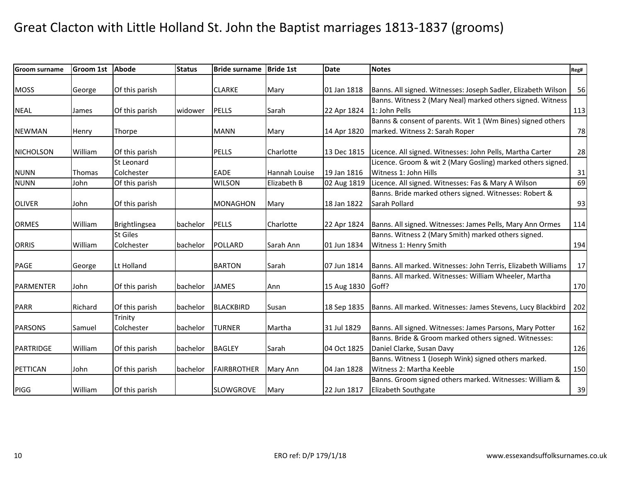| <b>Groom surname</b> | Groom 1st | Abode           | <b>Status</b> | <b>Bride surname</b> | <b>Bride 1st</b> | Date        | <b>Notes</b>                                                  | Reg# |
|----------------------|-----------|-----------------|---------------|----------------------|------------------|-------------|---------------------------------------------------------------|------|
|                      |           |                 |               |                      |                  |             |                                                               |      |
| <b>MOSS</b>          | George    | Of this parish  |               | <b>CLARKE</b>        | Mary             | 01 Jan 1818 | Banns. All signed. Witnesses: Joseph Sadler, Elizabeth Wilson | 56   |
|                      |           |                 |               |                      |                  |             | Banns. Witness 2 (Mary Neal) marked others signed. Witness    |      |
| <b>NEAL</b>          | James     | Of this parish  | widower       | <b>PELLS</b>         | Sarah            | 22 Apr 1824 | 1: John Pells                                                 | 113  |
|                      |           |                 |               |                      |                  |             | Banns & consent of parents. Wit 1 (Wm Bines) signed others    |      |
| <b>NEWMAN</b>        | Henry     | Thorpe          |               | <b>MANN</b>          | Mary             | 14 Apr 1820 | marked. Witness 2: Sarah Roper                                | 78   |
| NICHOLSON            | William   | Of this parish  |               | <b>PELLS</b>         | Charlotte        | 13 Dec 1815 | Licence. All signed. Witnesses: John Pells, Martha Carter     | 28   |
|                      |           | St Leonard      |               |                      |                  |             | Licence. Groom & wit 2 (Mary Gosling) marked others signed.   |      |
| <b>NUNN</b>          | Thomas    | Colchester      |               | <b>EADE</b>          | Hannah Louise    | 19 Jan 1816 | Witness 1: John Hills                                         | 31   |
| <b>NUNN</b>          | John      | Of this parish  |               | <b>WILSON</b>        | Elizabeth B      | 02 Aug 1819 | Licence. All signed. Witnesses: Fas & Mary A Wilson           | 69   |
|                      |           |                 |               |                      |                  |             | Banns. Bride marked others signed. Witnesses: Robert &        |      |
| <b>OLIVER</b>        | John      | Of this parish  |               | <b>MONAGHON</b>      | Mary             | 18 Jan 1822 | Sarah Pollard                                                 | 93   |
|                      |           |                 |               |                      |                  |             |                                                               |      |
| <b>ORMES</b>         | William   | Brightlingsea   | bachelor      | <b>PELLS</b>         | Charlotte        | 22 Apr 1824 | Banns. All signed. Witnesses: James Pells, Mary Ann Ormes     | 114  |
|                      |           | <b>St Giles</b> |               |                      |                  |             | Banns. Witness 2 (Mary Smith) marked others signed.           |      |
| <b>ORRIS</b>         | William   | Colchester      | bachelor      | POLLARD              | Sarah Ann        | 01 Jun 1834 | Witness 1: Henry Smith                                        | 194  |
|                      |           |                 |               |                      |                  |             |                                                               |      |
| <b>PAGE</b>          | George    | Lt Holland      |               | <b>BARTON</b>        | Sarah            | 07 Jun 1814 | Banns. All marked. Witnesses: John Terris, Elizabeth Williams | 17   |
|                      |           |                 |               |                      |                  |             | Banns. All marked. Witnesses: William Wheeler, Martha         |      |
| <b>PARMENTER</b>     | John      | Of this parish  | bachelor      | <b>JAMES</b>         | Ann              | 15 Aug 1830 | Goff?                                                         | 170  |
| <b>PARR</b>          | Richard   | Of this parish  | bachelor      | <b>BLACKBIRD</b>     | Susan            | 18 Sep 1835 | Banns. All marked. Witnesses: James Stevens, Lucy Blackbird   | 202  |
|                      |           | Trinity         |               |                      |                  |             |                                                               |      |
| <b>PARSONS</b>       | Samuel    | Colchester      | bachelor      | <b>TURNER</b>        | Martha           | 31 Jul 1829 | Banns. All signed. Witnesses: James Parsons, Mary Potter      | 162  |
|                      |           |                 |               |                      |                  |             | Banns. Bride & Groom marked others signed. Witnesses:         |      |
| PARTRIDGE            | William   | Of this parish  | bachelor      | <b>BAGLEY</b>        | Sarah            | 04 Oct 1825 | Daniel Clarke, Susan Davy                                     | 126  |
|                      |           |                 |               |                      |                  |             | Banns. Witness 1 (Joseph Wink) signed others marked.          |      |
| PETTICAN             | John      | Of this parish  | bachelor      | <b>FAIRBROTHER</b>   | Mary Ann         | 04 Jan 1828 | Witness 2: Martha Keeble                                      | 150  |
|                      |           |                 |               |                      |                  |             | Banns. Groom signed others marked. Witnesses: William &       |      |
| PIGG                 | William   | Of this parish  |               | <b>SLOWGROVE</b>     | Mary             | 22 Jun 1817 | <b>Elizabeth Southgate</b>                                    | 39   |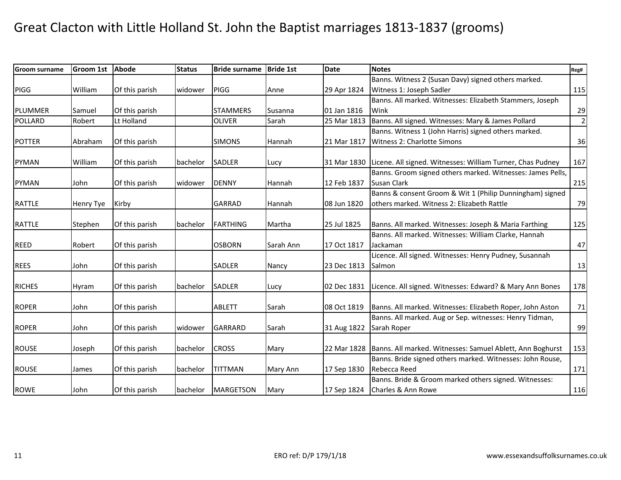| <b>Groom surname</b> | Groom 1st | <b>Abode</b>   | <b>Status</b> | <b>Bride surname</b> | <b>Bride 1st</b> | <b>Date</b> | <b>Notes</b>                                               | Reg#           |
|----------------------|-----------|----------------|---------------|----------------------|------------------|-------------|------------------------------------------------------------|----------------|
|                      |           |                |               |                      |                  |             | Banns. Witness 2 (Susan Davy) signed others marked.        |                |
| PIGG                 | William   | Of this parish | widower       | PIGG                 | Anne             | 29 Apr 1824 | Witness 1: Joseph Sadler                                   | 115            |
|                      |           |                |               |                      |                  |             | Banns. All marked. Witnesses: Elizabeth Stammers, Joseph   |                |
| PLUMMER              | Samuel    | Of this parish |               | <b>STAMMERS</b>      | Susanna          | 01 Jan 1816 | Wink                                                       | 29             |
| POLLARD              | Robert    | Lt Holland     |               | <b>OLIVER</b>        | Sarah            | 25 Mar 1813 | Banns. All signed. Witnesses: Mary & James Pollard         | $\overline{2}$ |
|                      |           |                |               |                      |                  |             | Banns. Witness 1 (John Harris) signed others marked.       |                |
| <b>POTTER</b>        | Abraham   | Of this parish |               | <b>SIMONS</b>        | Hannah           | 21 Mar 1817 | Witness 2: Charlotte Simons                                | 36             |
|                      |           |                |               |                      |                  |             |                                                            |                |
| <b>PYMAN</b>         | William   | Of this parish | bachelor      | <b>SADLER</b>        | Lucy             | 31 Mar 1830 | Licene. All signed. Witnesses: William Turner, Chas Pudney | 167            |
|                      |           |                |               |                      |                  |             | Banns. Groom signed others marked. Witnesses: James Pells, |                |
| <b>PYMAN</b>         | John      | Of this parish | widower       | <b>DENNY</b>         | Hannah           | 12 Feb 1837 | <b>Susan Clark</b>                                         | 215            |
|                      |           |                |               |                      |                  |             | Banns & consent Groom & Wit 1 (Philip Dunningham) signed   |                |
| <b>RATTLE</b>        | Henry Tye | Kirby          |               | <b>GARRAD</b>        | Hannah           | 08 Jun 1820 | others marked. Witness 2: Elizabeth Rattle                 | 79             |
|                      |           |                |               |                      |                  |             |                                                            |                |
| RATTLE               | Stephen   | Of this parish | bachelor      | FARTHING             | Martha           | 25 Jul 1825 | Banns. All marked. Witnesses: Joseph & Maria Farthing      | 125            |
|                      |           |                |               |                      |                  |             | Banns. All marked. Witnesses: William Clarke, Hannah       |                |
| <b>REED</b>          | Robert    | Of this parish |               | <b>OSBORN</b>        | Sarah Ann        | 17 Oct 1817 | Jackaman                                                   | 47             |
|                      |           |                |               |                      |                  |             | Licence. All signed. Witnesses: Henry Pudney, Susannah     |                |
| <b>REES</b>          | John      | Of this parish |               | <b>SADLER</b>        | Nancy            | 23 Dec 1813 | Salmon                                                     | 13             |
|                      |           |                |               |                      |                  |             |                                                            |                |
| <b>RICHES</b>        | Hyram     | Of this parish | bachelor      | <b>SADLER</b>        | Lucy             | 02 Dec 1831 | Licence. All signed. Witnesses: Edward? & Mary Ann Bones   | 178            |
|                      |           |                |               |                      |                  |             |                                                            |                |
| <b>ROPER</b>         | John      | Of this parish |               | <b>ABLETT</b>        | Sarah            | 08 Oct 1819 | Banns. All marked. Witnesses: Elizabeth Roper, John Aston  | 71             |
|                      |           |                |               |                      |                  |             | Banns. All marked. Aug or Sep. witnesses: Henry Tidman,    |                |
| <b>ROPER</b>         | John      | Of this parish | widower       | <b>GARRARD</b>       | Sarah            | 31 Aug 1822 | Sarah Roper                                                | 99             |
|                      |           |                |               |                      |                  |             |                                                            |                |
| <b>ROUSE</b>         | Joseph    | Of this parish | bachelor      | <b>CROSS</b>         | Mary             | 22 Mar 1828 | Banns. All marked. Witnesses: Samuel Ablett, Ann Boghurst  | 153            |
|                      |           |                |               |                      |                  |             | Banns. Bride signed others marked. Witnesses: John Rouse,  |                |
| <b>ROUSE</b>         | James     | Of this parish | bachelor      | <b>TITTMAN</b>       | Mary Ann         | 17 Sep 1830 | Rebecca Reed                                               | 171            |
|                      |           |                |               |                      |                  |             | Banns. Bride & Groom marked others signed. Witnesses:      |                |
| <b>ROWE</b>          | John      | Of this parish |               | bachelor   MARGETSON | Mary             |             | 17 Sep 1824   Charles & Ann Rowe                           | 116            |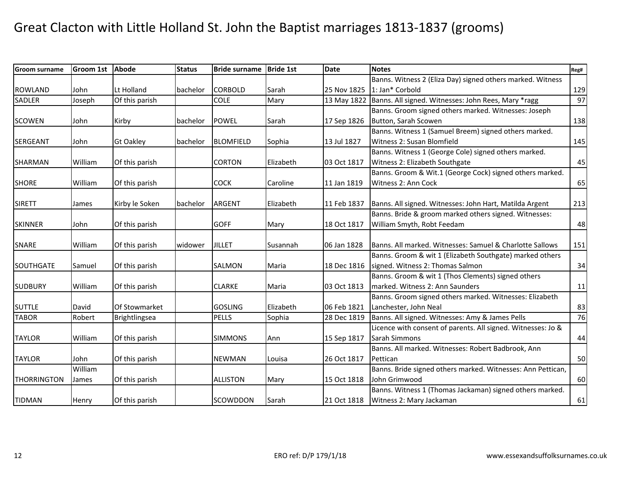| <b>Groom surname</b> | Groom 1st | <b>Abode</b>     | <b>Status</b> | <b>Bride surname</b> | <b>Bride 1st</b> | <b>Date</b> | <b>Notes</b>                                                 | Reg# |
|----------------------|-----------|------------------|---------------|----------------------|------------------|-------------|--------------------------------------------------------------|------|
|                      |           |                  |               |                      |                  |             | Banns. Witness 2 (Eliza Day) signed others marked. Witness   |      |
| <b>ROWLAND</b>       | John      | Lt Holland       | bachelor      | <b>CORBOLD</b>       | Sarah            | 25 Nov 1825 | 1: Jan* Corbold                                              | 129  |
| <b>SADLER</b>        | Joseph    | Of this parish   |               | <b>COLE</b>          | Mary             | 13 May 1822 | Banns. All signed. Witnesses: John Rees, Mary *ragg          | 97   |
|                      |           |                  |               |                      |                  |             | Banns. Groom signed others marked. Witnesses: Joseph         |      |
| <b>SCOWEN</b>        | John      | Kirby            | bachelor      | <b>POWEL</b>         | Sarah            | 17 Sep 1826 | Button, Sarah Scowen                                         | 138  |
|                      |           |                  |               |                      |                  |             | Banns. Witness 1 (Samuel Breem) signed others marked.        |      |
| <b>SERGEANT</b>      | John      | <b>Gt Oakley</b> | bachelor      | <b>BLOMFIELD</b>     | Sophia           | 13 Jul 1827 | Witness 2: Susan Blomfield                                   | 145  |
|                      |           |                  |               |                      |                  |             | Banns. Witness 1 (George Cole) signed others marked.         |      |
| <b>SHARMAN</b>       | William   | Of this parish   |               | <b>CORTON</b>        | Elizabeth        | 03 Oct 1817 | Witness 2: Elizabeth Southgate                               | 45   |
|                      |           |                  |               |                      |                  |             | Banns. Groom & Wit.1 (George Cock) signed others marked.     |      |
| <b>SHORE</b>         | William   | Of this parish   |               | <b>COCK</b>          | Caroline         | 11 Jan 1819 | Witness 2: Ann Cock                                          | 65   |
|                      |           |                  |               |                      |                  |             |                                                              |      |
| <b>SIRETT</b>        | James     | Kirby le Soken   | bachelor      | <b>ARGENT</b>        | Elizabeth        | 11 Feb 1837 | Banns. All signed. Witnesses: John Hart, Matilda Argent      | 213  |
|                      |           |                  |               |                      |                  |             | Banns. Bride & groom marked others signed. Witnesses:        |      |
| <b>SKINNER</b>       | John      | Of this parish   |               | <b>GOFF</b>          | Mary             | 18 Oct 1817 | William Smyth, Robt Feedam                                   | 48   |
|                      |           |                  |               |                      |                  |             |                                                              |      |
| <b>SNARE</b>         | William   | Of this parish   | widower       | <b>JILLET</b>        | Susannah         | 06 Jan 1828 | Banns. All marked. Witnesses: Samuel & Charlotte Sallows     | 151  |
|                      |           |                  |               |                      |                  |             | Banns. Groom & wit 1 (Elizabeth Southgate) marked others     |      |
| SOUTHGATE            | Samuel    | Of this parish   |               | <b>SALMON</b>        | Maria            | 18 Dec 1816 | signed. Witness 2: Thomas Salmon                             | 34   |
|                      |           |                  |               |                      |                  |             | Banns. Groom & wit 1 (Thos Clements) signed others           |      |
| <b>SUDBURY</b>       | William   | Of this parish   |               | <b>CLARKE</b>        | Maria            | 03 Oct 1813 | marked. Witness 2: Ann Saunders                              | 11   |
|                      |           |                  |               |                      |                  |             | Banns. Groom signed others marked. Witnesses: Elizabeth      |      |
| <b>SUTTLE</b>        | David     | Of Stowmarket    |               | <b>GOSLING</b>       | Elizabeth        | 06 Feb 1821 | Lanchester, John Neal                                        | 83   |
| <b>TABOR</b>         | Robert    | Brightlingsea    |               | <b>PELLS</b>         | Sophia           | 28 Dec 1819 | Banns. All signed. Witnesses: Amy & James Pells              | 76   |
|                      |           |                  |               |                      |                  |             | Licence with consent of parents. All signed. Witnesses: Jo & |      |
| <b>TAYLOR</b>        | William   | Of this parish   |               | <b>SIMMONS</b>       | Ann              | 15 Sep 1817 | Sarah Simmons                                                | 44   |
|                      |           |                  |               |                      |                  |             | Banns. All marked. Witnesses: Robert Badbrook, Ann           |      |
| <b>TAYLOR</b>        | John      | Of this parish   |               | <b>NEWMAN</b>        | Louisa           | 26 Oct 1817 | Pettican                                                     | 50   |
|                      | William   |                  |               |                      |                  |             | Banns. Bride signed others marked. Witnesses: Ann Pettican,  |      |
| <b>THORRINGTON</b>   | James     | Of this parish   |               | <b>ALLISTON</b>      | Mary             | 15 Oct 1818 | John Grimwood                                                | 60   |
|                      |           |                  |               |                      |                  |             | Banns. Witness 1 (Thomas Jackaman) signed others marked.     |      |
| <b>TIDMAN</b>        | Henry     | Of this parish   |               | SCOWDDON             | Sarah            | 21 Oct 1818 | Witness 2: Mary Jackaman                                     | 61   |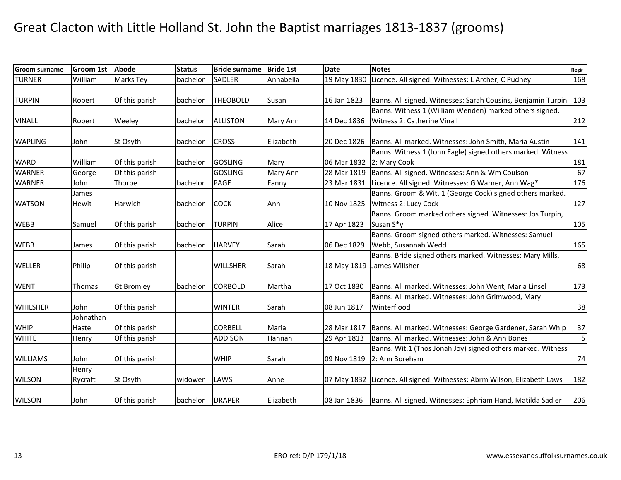| <b>Groom surname</b> | <b>Groom 1st</b> | <b>Abode</b>      | <b>Status</b> | <b>Bride surname</b> | <b>Bride 1st</b> | <b>Date</b> | <b>Notes</b>                                                            | Reg#                    |
|----------------------|------------------|-------------------|---------------|----------------------|------------------|-------------|-------------------------------------------------------------------------|-------------------------|
| <b>TURNER</b>        | William          | Marks Tey         | bachelor      | <b>SADLER</b>        | Annabella        | 19 May 1830 | Licence. All signed. Witnesses: L Archer, C Pudney                      | 168                     |
|                      |                  |                   |               |                      |                  |             |                                                                         |                         |
| <b>TURPIN</b>        | Robert           | Of this parish    | bachelor      | <b>THEOBOLD</b>      | Susan            | 16 Jan 1823 | Banns. All signed. Witnesses: Sarah Cousins, Benjamin Turpin   103      |                         |
|                      |                  |                   |               |                      |                  |             | Banns. Witness 1 (William Wenden) marked others signed.                 |                         |
| <b>VINALL</b>        | Robert           | Weeley            | bachelor      | <b>ALLISTON</b>      | Mary Ann         | 14 Dec 1836 | Witness 2: Catherine Vinall                                             | 212                     |
|                      |                  |                   |               |                      |                  |             |                                                                         |                         |
| <b>WAPLING</b>       | John             | St Osyth          | bachelor      | <b>CROSS</b>         | Elizabeth        | 20 Dec 1826 | Banns. All marked. Witnesses: John Smith, Maria Austin                  | 141                     |
|                      |                  |                   |               |                      |                  |             | Banns. Witness 1 (John Eagle) signed others marked. Witness             |                         |
| <b>WARD</b>          | William          | Of this parish    | bachelor      | <b>GOSLING</b>       | Mary             | 06 Mar 1832 | 2: Mary Cook                                                            | 181                     |
| <b>WARNER</b>        | George           | Of this parish    |               | <b>GOSLING</b>       | Mary Ann         | 28 Mar 1819 | Banns. All signed. Witnesses: Ann & Wm Coulson                          | 67                      |
| <b>WARNER</b>        | John             | Thorpe            | bachelor      | <b>PAGE</b>          | Fanny            | 23 Mar 1831 | Licence. All signed. Witnesses: G Warner, Ann Wag*                      | 176                     |
|                      | James            |                   |               |                      |                  |             | Banns. Groom & Wit. 1 (George Cock) signed others marked.               |                         |
| <b>WATSON</b>        | Hewit            | Harwich           | bachelor      | <b>COCK</b>          | Ann              | 10 Nov 1825 | Witness 2: Lucy Cock                                                    | 127                     |
|                      |                  |                   |               |                      |                  |             | Banns. Groom marked others signed. Witnesses: Jos Turpin,               |                         |
| <b>WEBB</b>          | Samuel           | Of this parish    | bachelor      | <b>TURPIN</b>        | Alice            | 17 Apr 1823 | Susan S*y                                                               | 105                     |
|                      |                  |                   |               |                      |                  |             | Banns. Groom signed others marked. Witnesses: Samuel                    |                         |
| <b>WEBB</b>          | James            | Of this parish    | bachelor      | <b>HARVEY</b>        | Sarah            | 06 Dec 1829 | Webb, Susannah Wedd                                                     | 165                     |
|                      |                  |                   |               |                      |                  |             | Banns. Bride signed others marked. Witnesses: Mary Mills,               |                         |
| <b>WELLER</b>        | Philip           | Of this parish    |               | <b>WILLSHER</b>      | Sarah            | 18 May 1819 | James Willsher                                                          | 68                      |
|                      |                  |                   |               |                      |                  |             |                                                                         |                         |
| <b>WENT</b>          | Thomas           | <b>Gt Bromley</b> | bachelor      | <b>CORBOLD</b>       | Martha           | 17 Oct 1830 | Banns. All marked. Witnesses: John Went, Maria Linsel                   | 173                     |
|                      |                  |                   |               |                      |                  |             | Banns. All marked. Witnesses: John Grimwood, Mary                       |                         |
| <b>WHILSHER</b>      | John             | Of this parish    |               | <b>WINTER</b>        | Sarah            | 08 Jun 1817 | Winterflood                                                             | 38                      |
|                      | Johnathan        |                   |               |                      |                  |             |                                                                         |                         |
| <b>WHIP</b>          | Haste            | Of this parish    |               | <b>CORBELL</b>       | Maria            | 28 Mar 1817 | Banns. All marked. Witnesses: George Gardener, Sarah Whip               | 37                      |
| <b>WHITE</b>         | Henry            | Of this parish    |               | <b>ADDISON</b>       | Hannah           | 29 Apr 1813 | Banns. All marked. Witnesses: John & Ann Bones                          | $\overline{\mathbf{5}}$ |
|                      |                  |                   |               |                      |                  |             | Banns. Wit.1 (Thos Jonah Joy) signed others marked. Witness             |                         |
| <b>WILLIAMS</b>      | John             | Of this parish    |               | <b>WHIP</b>          | Sarah            | 09 Nov 1819 | 2: Ann Boreham                                                          | 74                      |
|                      | Henry            |                   |               |                      |                  |             |                                                                         |                         |
| <b>WILSON</b>        | Rycraft          | St Osyth          | widower       | LAWS                 | Anne             |             | 07 May 1832 Licence. All signed. Witnesses: Abrm Wilson, Elizabeth Laws | 182                     |
|                      |                  |                   |               |                      |                  |             |                                                                         |                         |
| <b>WILSON</b>        | John             | Of this parish    | bachelor      | <b>DRAPER</b>        | Elizabeth        | 08 Jan 1836 | Banns. All signed. Witnesses: Ephriam Hand, Matilda Sadler              | 206                     |